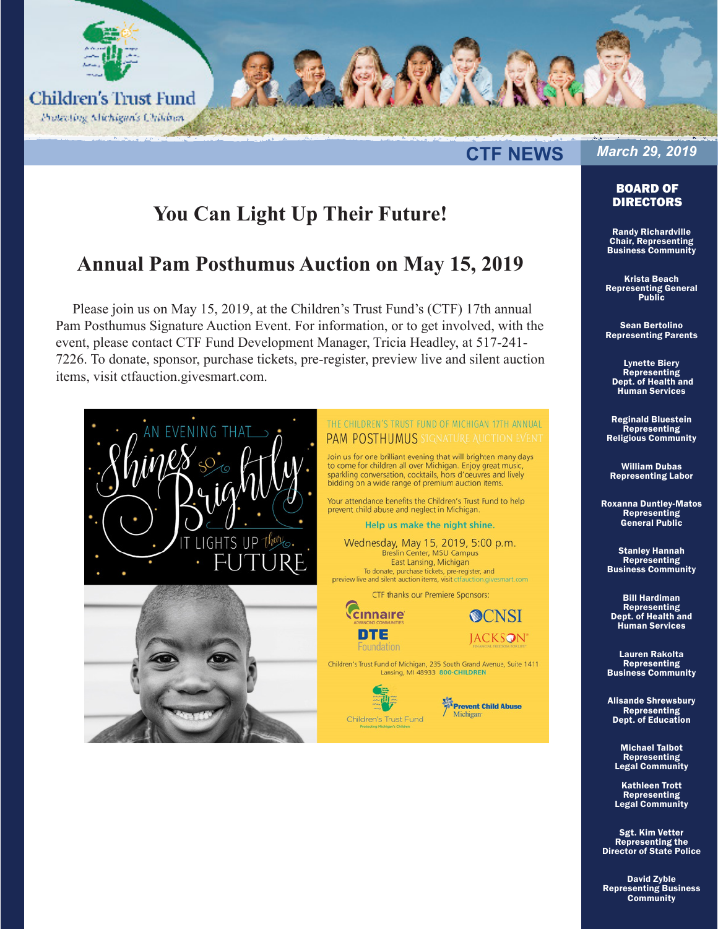

#### **CTF NEWS**

# *March 29, 2019*

BOARD OF DIRECTORS

# **You Can Light Up Their Future!**

### **Annual Pam Posthumus Auction on May 15, 2019**

Please join us on May 15, 2019, at the Children's Trust Fund's (CTF) 17th annual Pam Posthumus Signature Auction Event. For information, or to get involved, with the event, please contact CTF Fund Development Manager, Tricia Headley, at 517-241- 7226. To donate, sponsor, purchase tickets, pre-register, preview live and silent auction items, visit [ctfauction.givesmart.com](ctfauction.com.givesmart.com).



#### THE CHILDREN'S TRUST FUND OF MICHIGAN 17TH ANNUAL PAM POSTHUMUS SIGNATURE AUCTION EVENT

Join us for one brilliant evening that will brighten many days to come for children all over Michigan. Enjoy great music,<br>to come for children all over Michigan. Enjoy great music,<br>sparkling conversation, cocktails, hors d'oeuvres and lively bidding on a wide range of premium auction items.

Your attendance benefits the Children's Trust Fund to help prevent child abuse and neglect in Michigan.

Help us make the night shine.

Wednesday, May 15, 2019, 5:00 p.m. Breslin Center, MSU Campus East Lansing, Michigan To donate, purchase tickets, pre-register, and preview live and silent auction items, visit ctfauction.givesmart.com

CTF thanks our Premiere Sponsors:



Foundation

Children's Trust Fund of Michigan, 235 South Grand Avenue, Suite 1411 Lansing, MI 48933 800-CHILDREN



Prevent Child Abuse Michigan

**OCNSI** 

**JACKSON** 

Randy Richardville Chair, Representing Business Community

Krista Beach Representing General Public

Sean Bertolino Representing Parents

Lynette Biery **Representing**  Dept. of Health and Human Services

Reginald Bluestein Representing Religious Community

William Dubas Representing Labor

Roxanna Duntley-Matos Representing General Public

Stanley Hannah **Representing** Business Community

Bill Hardiman Representing Dept. of Health and Human Services

Lauren Rakolta Representing Business Community

Alisande Shrewsbury Representing Dept. of Education

> Michael Talbot Representing Legal Community

> Kathleen Trott Representing Legal Community

Sgt. Kim Vetter Representing the Director of State Police

David Zyble Representing Business **Community**